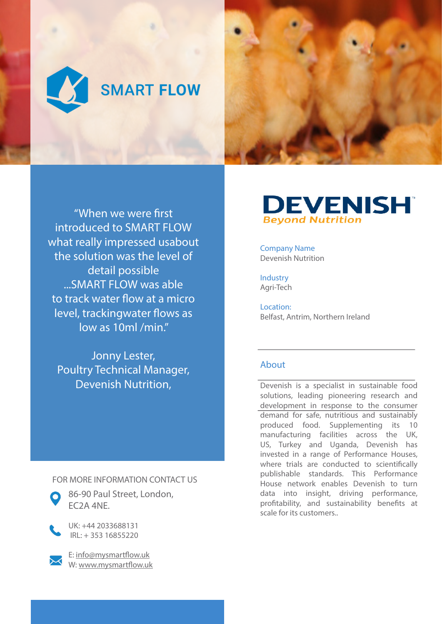

"When we were first introduced to SMART FLOW what really impressed usabout the solution was the level of detail possible ...SMART FLOW was able to track water flow at a micro level, trackingwater flows as low as 10ml /min."

Jonny Lester, Poultry Technical Manager, Devenish Nutrition,

FOR MORE INFORMATION CONTACT US



86-90 Paul Street, London, EC2A 4NE.

UK: +44 2033688131 IRL: + 353 16855220



E: info@mysmartflow.uk W: www.mysmartflow.uk

## **DEVENISH Beyond Nutrition**

Company Name Devenish Nutrition

Industry Agri-Tech

Location: Belfast, Antrim, Northern Ireland

## About

Devenish is a specialist in sustainable food solutions, leading pioneering research and development in response to the consumer demand for safe, nutritious and sustainably produced food. Supplementing its 10 manufacturing facilities across the UK, US, Turkey and Uganda, Devenish has invested in a range of Performance Houses, where trials are conducted to scientifically publishable standards. This Performance House network enables Devenish to turn data into insight, driving performance, profitability, and sustainability benefits at scale for its customers..